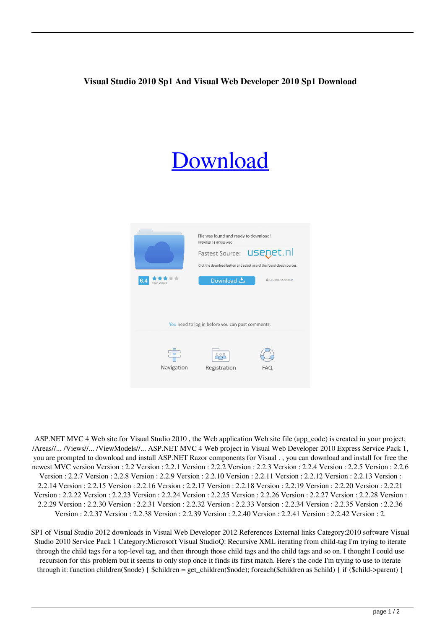## **Visual Studio 2010 Sp1 And Visual Web Developer 2010 Sp1 Download**

## [Download](http://evacdir.com/cabbalists/comrades/devalued/discos/ZG93bmxvYWR8bU41ZFhSNmZId3hOalV5TnpRd09EWTJmSHd5TlRjMGZId29UU2tnY21WaFpDMWliRzluSUZ0R1lYTjBJRWRGVGww/dynamometer/hollsworth?dmlzdWFsIHN0dWRpbyAyMDEwIHNwMSBhbmQgdmlzdWFsIHdlYiBkZXZlbG9wZXIgMjAxMCBzcDEgZG93bmxvYWQdml)



ASP.NET MVC 4 Web site for Visual Studio 2010 , the Web application Web site file (app\_code) is created in your project, /Areas//... /Views//... /ViewModels//... ASP.NET MVC 4 Web project in Visual Web Developer 2010 Express Service Pack 1, you are prompted to download and install ASP.NET Razor components for Visual . , you can download and install for free the newest MVC version Version : 2.2 Version : 2.2.1 Version : 2.2.2 Version : 2.2.3 Version : 2.2.4 Version : 2.2.5 Version : 2.2.6 Version : 2.2.7 Version : 2.2.8 Version : 2.2.9 Version : 2.2.10 Version : 2.2.11 Version : 2.2.12 Version : 2.2.13 Version : 2.2.14 Version : 2.2.15 Version : 2.2.16 Version : 2.2.17 Version : 2.2.18 Version : 2.2.19 Version : 2.2.20 Version : 2.2.21 Version : 2.2.22 Version : 2.2.23 Version : 2.2.24 Version : 2.2.25 Version : 2.2.26 Version : 2.2.27 Version : 2.2.28 Version : 2.2.29 Version : 2.2.30 Version : 2.2.31 Version : 2.2.32 Version : 2.2.33 Version : 2.2.34 Version : 2.2.35 Version : 2.2.36 Version : 2.2.37 Version : 2.2.38 Version : 2.2.39 Version : 2.2.40 Version : 2.2.41 Version : 2.2.42 Version : 2.

SP1 of Visual Studio 2012 downloads in Visual Web Developer 2012 References External links Category:2010 software Visual Studio 2010 Service Pack 1 Category:Microsoft Visual StudioQ: Recursive XML iterating from child-tag I'm trying to iterate through the child tags for a top-level tag, and then through those child tags and the child tags and so on. I thought I could use recursion for this problem but it seems to only stop once it finds its first match. Here's the code I'm trying to use to iterate through it: function children(\$node) { \$children = get\_children(\$node); foreach(\$children as \$child) { if (\$child->parent) {